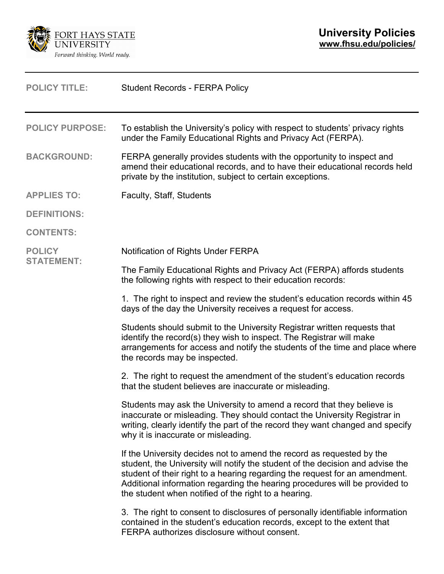

| <b>POLICY TITLE:</b>               | <b>Student Records - FERPA Policy</b>                                                                                                                                                                                                                                                                                                                                         |  |
|------------------------------------|-------------------------------------------------------------------------------------------------------------------------------------------------------------------------------------------------------------------------------------------------------------------------------------------------------------------------------------------------------------------------------|--|
| <b>POLICY PURPOSE:</b>             | To establish the University's policy with respect to students' privacy rights<br>under the Family Educational Rights and Privacy Act (FERPA).                                                                                                                                                                                                                                 |  |
| <b>BACKGROUND:</b>                 | FERPA generally provides students with the opportunity to inspect and<br>amend their educational records, and to have their educational records held<br>private by the institution, subject to certain exceptions.                                                                                                                                                            |  |
| <b>APPLIES TO:</b>                 | Faculty, Staff, Students                                                                                                                                                                                                                                                                                                                                                      |  |
| <b>DEFINITIONS:</b>                |                                                                                                                                                                                                                                                                                                                                                                               |  |
| <b>CONTENTS:</b>                   |                                                                                                                                                                                                                                                                                                                                                                               |  |
| <b>POLICY</b><br><b>STATEMENT:</b> | Notification of Rights Under FERPA                                                                                                                                                                                                                                                                                                                                            |  |
|                                    | The Family Educational Rights and Privacy Act (FERPA) affords students<br>the following rights with respect to their education records:                                                                                                                                                                                                                                       |  |
|                                    | 1. The right to inspect and review the student's education records within 45<br>days of the day the University receives a request for access.                                                                                                                                                                                                                                 |  |
|                                    | Students should submit to the University Registrar written requests that<br>identify the record(s) they wish to inspect. The Registrar will make<br>arrangements for access and notify the students of the time and place where<br>the records may be inspected.                                                                                                              |  |
|                                    | 2. The right to request the amendment of the student's education records<br>that the student believes are inaccurate or misleading.                                                                                                                                                                                                                                           |  |
|                                    | Students may ask the University to amend a record that they believe is<br>inaccurate or misleading. They should contact the University Registrar in<br>writing, clearly identify the part of the record they want changed and specify<br>why it is inaccurate or misleading.                                                                                                  |  |
|                                    | If the University decides not to amend the record as requested by the<br>student, the University will notify the student of the decision and advise the<br>student of their right to a hearing regarding the request for an amendment.<br>Additional information regarding the hearing procedures will be provided to<br>the student when notified of the right to a hearing. |  |
|                                    | 3. The right to consent to disclosures of personally identifiable information<br>contained in the student's education records, except to the extent that<br>FERPA authorizes disclosure without consent.                                                                                                                                                                      |  |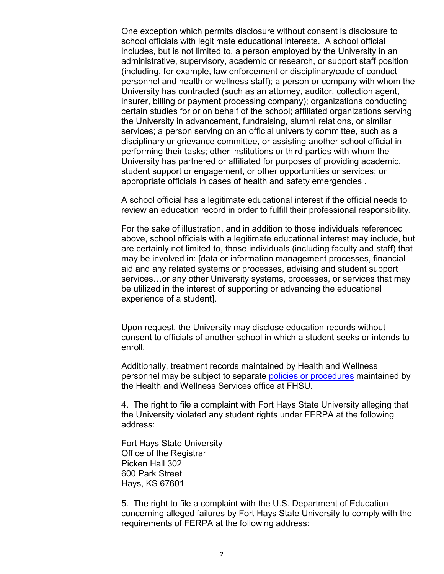One exception which permits disclosure without consent is disclosure to school officials with legitimate educational interests. A school official includes, but is not limited to, a person employed by the University in an administrative, supervisory, academic or research, or support staff position (including, for example, law enforcement or disciplinary/code of conduct personnel and health or wellness staff); a person or company with whom the University has contracted (such as an attorney, auditor, collection agent, insurer, billing or payment processing company); organizations conducting certain studies for or on behalf of the school; affiliated organizations serving the University in advancement, fundraising, alumni relations, or similar services; a person serving on an official university committee, such as a disciplinary or grievance committee, or assisting another school official in performing their tasks; other institutions or third parties with whom the University has partnered or affiliated for purposes of providing academic, student support or engagement, or other opportunities or services; or appropriate officials in cases of health and safety emergencies .

A school official has a legitimate educational interest if the official needs to review an education record in order to fulfill their professional responsibility.

For the sake of illustration, and in addition to those individuals referenced above, school officials with a legitimate educational interest may include, but are certainly not limited to, those individuals (including faculty and staff) that may be involved in: [data or information management processes, financial aid and any related systems or processes, advising and student support services…or any other University systems, processes, or services that may be utilized in the interest of supporting or advancing the educational experience of a student].

Upon request, the University may disclose education records without consent to officials of another school in which a student seeks or intends to enroll.

Additionally, treatment records maintained by Health and Wellness personnel may be subject to separate [policies or procedures](https://www.fhsu.edu/health-and-wellness/confidentiality-and-privacy) maintained by the Health and Wellness Services office at FHSU.

4. The right to file a complaint with Fort Hays State University alleging that the University violated any student rights under FERPA at the following address:

Fort Hays State University Office of the Registrar Picken Hall 302 600 Park Street Hays, KS 67601

5. The right to file a complaint with the U.S. Department of Education concerning alleged failures by Fort Hays State University to comply with the requirements of FERPA at the following address: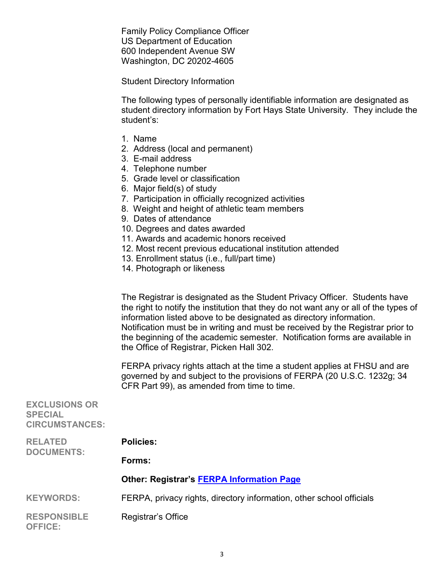Family Policy Compliance Officer US Department of Education 600 Independent Avenue SW Washington, DC 20202-4605

Student Directory Information

The following types of personally identifiable information are designated as student directory information by Fort Hays State University. They include the student's:

- 1. Name
- 2. Address (local and permanent)
- 3. E-mail address
- 4. Telephone number
- 5. Grade level or classification
- 6. Major field(s) of study
- 7. Participation in officially recognized activities
- 8. Weight and height of athletic team members
- 9. Dates of attendance
- 10. Degrees and dates awarded
- 11. Awards and academic honors received
- 12. Most recent previous educational institution attended
- 13. Enrollment status (i.e., full/part time)
- 14. Photograph or likeness

The Registrar is designated as the Student Privacy Officer. Students have the right to notify the institution that they do not want any or all of the types of information listed above to be designated as directory information. Notification must be in writing and must be received by the Registrar prior to the beginning of the academic semester. Notification forms are available in the Office of Registrar, Picken Hall 302.

FERPA privacy rights attach at the time a student applies at FHSU and are governed by and subject to the provisions of FERPA (20 U.S.C. 1232g; 34 CFR Part 99), as amended from time to time.

| <b>EXCLUSIONS OR</b><br><b>SPECIAL</b><br><b>CIRCUMSTANCES:</b> |                                                                      |
|-----------------------------------------------------------------|----------------------------------------------------------------------|
| <b>RELATED</b><br><b>DOCUMENTS:</b>                             | <b>Policies:</b>                                                     |
|                                                                 | Forms:                                                               |
|                                                                 | <b>Other: Registrar's FERPA Information Page</b>                     |
| <b>KEYWORDS:</b>                                                | FERPA, privacy rights, directory information, other school officials |
| <b>RESPONSIBLE</b><br><b>OFFICE:</b>                            | Registrar's Office                                                   |